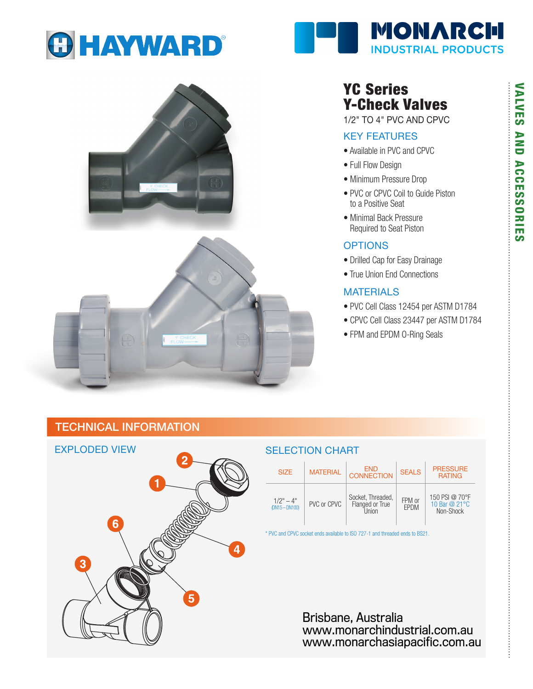







# YC Series Y-Check Valves

1/2" TO 4" PVC AND CPVC

#### KEY FEATURES

- Available in PVC and CPVC
- Full Flow Design
- Minimum Pressure Drop
- PVC or CPVC Coil to Guide Piston to a Positive Seat
- Minimal Back Pressure Required to Seat Piston

#### **OPTIONS**

- Drilled Cap for Easy Drainage
- True Union End Connections

## MATERIALS

- PVC Cell Class 12454 per ASTM D1784
- CPVC Cell Class 23447 per ASTM D1784
- FPM and EPDM O-Ring Seals

# TECHNICAL INFORMATION



#### SELECTION CHART

| <b>SIZE</b>                   | <b>MATERIAL</b> | END<br><b>CONNECTION</b>                        | <b>SEALS</b>          | <b>PRESSURE</b><br><b>RATING</b>             |  |  |
|-------------------------------|-----------------|-------------------------------------------------|-----------------------|----------------------------------------------|--|--|
| $1/2" - 4"$<br>$DN15 - DN100$ | PVC or CPVC     | Socket, Threaded,<br>Flanged or True<br>I Inion | FPM or<br><b>EPDM</b> | 150 PSI @ 70°F<br>10 Bar @ 21°C<br>Non-Shock |  |  |

\* PVC and CPVC socket ends available to ISO 727-1 and threaded ends to BS21.

Brisbane, Australia www.monarchindustrial.com.au www.monarchasiapacific.com.au